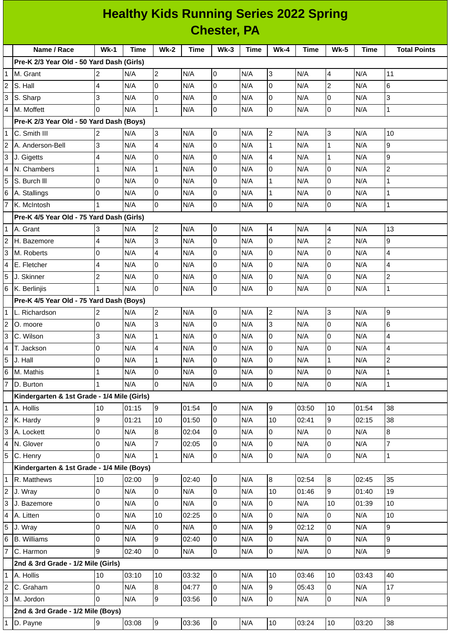|                | <b>Healthy Kids Running Series 2022 Spring</b> |                |       |                |       |                |      |                  |       |                  |       |                          |
|----------------|------------------------------------------------|----------------|-------|----------------|-------|----------------|------|------------------|-------|------------------|-------|--------------------------|
|                | <b>Chester, PA</b>                             |                |       |                |       |                |      |                  |       |                  |       |                          |
|                | Name / Race                                    | $Wk-1$         | Time  | $Wk-2$         | Time  | $Wk-3$         | Time | <b>Wk-4</b>      | Time  | <b>Wk-5</b>      | Time  | <b>Total Points</b>      |
|                | Pre-K 2/3 Year Old - 50 Yard Dash (Girls)      |                |       |                |       |                |      |                  |       |                  |       |                          |
| 1              | M. Grant                                       | $\overline{c}$ | N/A   | $\overline{2}$ | N/A   | 0              | N/A  | 3                | N/A   | 4                | N/A   | 11                       |
| $\overline{c}$ | S. Hall                                        | 4              | N/A   | $\Omega$       | N/A   | $\Omega$       | N/A  | $\Omega$         | N/A   | $\overline{c}$   | N/A   | $6\phantom{1}6$          |
| 3              | S. Sharp                                       | 3              | N/A   | 0              | N/A   | 0              | N/A  | 0                | N/A   | 0                | N/A   | 3                        |
| 4              | M. Moffett                                     | $\Omega$       | N/A   | $\mathbf{1}$   | N/A   | $\mathsf 0$    | N/A  | l0               | N/A   | 0                | N/A   | $\mathbf{1}$             |
|                | Pre-K 2/3 Year Old - 50 Yard Dash (Boys)       |                |       |                |       |                |      |                  |       |                  |       |                          |
| 1              | C. Smith III                                   | 2              | N/A   | $\overline{3}$ | N/A   | O              | N/A  | $\overline{c}$   | N/A   | 3                | N/A   | 10                       |
| 2              | A. Anderson-Bell                               | 3              | N/A   | 4              | N/A   | $\overline{0}$ | N/A  | $\mathbf{1}$     | N/A   | $\mathbf{1}$     | N/A   | 9                        |
| 3              | J. Gigetts                                     | 4              | N/A   | $\Omega$       | N/A   | l0             | N/A  | 4                | N/A   | $\mathbf 1$      | N/A   | $\overline{9}$           |
| 4              | N. Chambers                                    | $\mathbf{1}$   | N/A   | $\mathbf{1}$   | N/A   | 0              | N/A  | 0                | N/A   | 0                | N/A   | $\overline{2}$           |
| 5              | S. Burch III                                   | 0              | N/A   | $\Omega$       | N/A   | 0              | N/A  | $\mathbf{1}$     | N/A   | $\Omega$         | N/A   | $\mathbf{1}$             |
| 6              | A. Stallings                                   | 0              | N/A   | 0              | N/A   | 0              | N/A  | $\mathbf{1}$     | N/A   | 0                | N/A   | 1                        |
| 7              | K. McIntosh                                    | $\mathbf{1}$   | N/A   | l0             | N/A   | $\mathsf 0$    | N/A  | 0                | N/A   | 0                | N/A   | $\mathbf{1}$             |
|                | Pre-K 4/5 Year Old - 75 Yard Dash (Girls)      |                |       |                |       |                |      |                  |       |                  |       |                          |
| 1              | A. Grant                                       | 3              | N/A   | $\overline{c}$ | N/A   | O              | N/A  | 4                | N/A   | 4                | N/A   | 13                       |
| 2              | H. Bazemore                                    | 4              | N/A   | 3              | N/A   | 0              | N/A  | $\Omega$         | N/A   | $\overline{c}$   | N/A   | 9                        |
| 3              | M. Roberts                                     | 0              | N/A   | 4              | N/A   | 0              | N/A  | $\Omega$         | N/A   | $\Omega$         | N/A   | $\overline{4}$           |
| 4              | E. Fletcher                                    | 4              | N/A   | 0              | N/A   | 0              | N/A  | 0                | N/A   | 0                | N/A   | $\overline{\mathcal{L}}$ |
| 5              | J. Skinner                                     | $\overline{c}$ | N/A   | 0              | N/A   | 0              | N/A  | $\Omega$         | N/A   | $\Omega$         | N/A   | $\overline{c}$           |
| 6              | K. Berlinjis                                   | 1              | N/A   | 0              | N/A   | 0              | N/A  | $\overline{0}$   | N/A   | 0                | N/A   | $\mathbf 1$              |
|                | Pre-K 4/5 Year Old - 75 Yard Dash (Boys)       |                |       |                |       |                |      |                  |       |                  |       |                          |
| 1              | L. Richardson                                  | 2              | N/A   | $\overline{c}$ | N/A   | O              | N/A  | $\overline{c}$   | N/A   | 3                | N/A   | 9                        |
| 2              | O. moore                                       | 0              | N/A   | 3              | N/A   | 0              | N/A  | 3                | N/A   | 0                | N/A   | $6\phantom{1}6$          |
| 3              | C. Wilson                                      | 3              | N/A   | $\mathbf{1}$   | N/A   | 0              | N/A  | 0                | N/A   | 0                | N/A   | $\overline{4}$           |
| 4              | T. Jackson                                     | $\overline{0}$ | N/A   | $\overline{4}$ | N/A   | $\overline{0}$ | N/A  | $\overline{0}$   | N/A   | $\mathsf 0$      | N/A   | $\overline{4}$           |
| 5              | J. Hall                                        | 0              | N/A   | $\mathbf{1}$   | N/A   | $\overline{0}$ | N/A  | $\mathbf 0$      | N/A   | $\mathbf{1}$     | N/A   | $\overline{c}$           |
| 6              | M. Mathis                                      | $\mathbf{1}$   | N/A   | 0              | N/A   | 0              | N/A  | 0                | N/A   | 0                | N/A   | $\mathbf 1$              |
|                | D. Burton                                      | $\mathbf{1}$   | N/A   | $\overline{0}$ | N/A   | 0              | N/A  | $\overline{0}$   | N/A   | $\mathsf 0$      | N/A   | $\mathbf 1$              |
|                | Kindergarten & 1st Grade - 1/4 Mile (Girls)    |                |       |                |       |                |      |                  |       |                  |       |                          |
| 1              | A. Hollis                                      | 10             | 01:15 | 9              | 01:54 | $\overline{0}$ | N/A  | 9                | 03:50 | 10               | 01:54 | 38                       |
| 2              | K. Hardy                                       | 9              | 01:21 | 10             | 01:50 | 0              | N/A  | 10               | 02:41 | 9                | 02:15 | 38                       |
| 3              | A. Lockett                                     | 0              | N/A   | 8              | 02:04 | l0             | N/A  | 0                | N/A   | 0                | N/A   | $\overline{8}$           |
| 4              | N. Glover                                      | 0              | N/A   | $\overline{7}$ | 02:05 | 0              | N/A  | 0                | N/A   | 0                | N/A   | $\overline{7}$           |
| 5              | C. Henry                                       | $\Omega$       | N/A   | $\mathbf{1}$   | N/A   | $\mathsf{O}$   | N/A  | 0                | N/A   | $\mathbf 0$      | N/A   | $\mathbf{1}$             |
|                | Kindergarten & 1st Grade - 1/4 Mile (Boys)     |                |       |                |       |                |      |                  |       |                  |       |                          |
| 1              | R. Matthews                                    | 10             | 02:00 | 9              | 02:40 | $\overline{0}$ | N/A  | $\boldsymbol{8}$ | 02:54 | $\boldsymbol{8}$ | 02:45 | 35                       |
| $\overline{c}$ | J. Wray                                        | $\overline{0}$ | N/A   | 0              | N/A   | 0              | N/A  | 10               | 01:46 | 9                | 01:40 | 19                       |
| 3              | J. Bazemore                                    | 0              | N/A   | $\overline{0}$ | N/A   | 0              | N/A  | 0                | N/A   | 10               | 01:39 | 10                       |
| 4              | A. Litten                                      | 0              | N/A   | 10             | 02:25 | 0              | N/A  | 0                | N/A   | 0                | N/A   | 10                       |
| 5              | J. Wray                                        | $\mathsf 0$    | N/A   | 0              | N/A   | 0              | N/A  | 9                | 02:12 | 0                | N/A   | g                        |
| 6              | <b>B.</b> Williams                             | 0              | N/A   | 9              | 02:40 | $\mathsf{O}$   | N/A  | 0                | N/A   | 0                | N/A   | 9                        |
| 7              | C. Harmon                                      | 9              | 02:40 | 0              | N/A   | $\mathsf{O}$   | N/A  | 0                | N/A   | $\mathbf 0$      | N/A   | 9                        |
|                | 2nd & 3rd Grade - 1/2 Mile (Girls)             |                |       |                |       |                |      |                  |       |                  |       |                          |
|                | A. Hollis                                      | 10             | 03:10 | 10             | 03:32 | $\overline{0}$ | N/A  | 10               | 03:46 | 10               | 03:43 | 40                       |
|                | C. Graham                                      | $\overline{0}$ | N/A   | 8              | 04:77 | $\mathbf 0$    | N/A  | 9                | 05:43 | 0                | N/A   | 17                       |
| 3              | M. Jordon                                      | $\Omega$       | N/A   | 9              | 03:56 | 0              | N/A  | 0                | N/A   | 0                | N/A   | $\overline{9}$           |
|                | 2nd & 3rd Grade - 1/2 Mile (Boys)              |                |       |                |       |                |      |                  |       |                  |       |                          |

D. Payne 9 03:08 9 03:36 0 N/A 10 03:24 10 03:20 38